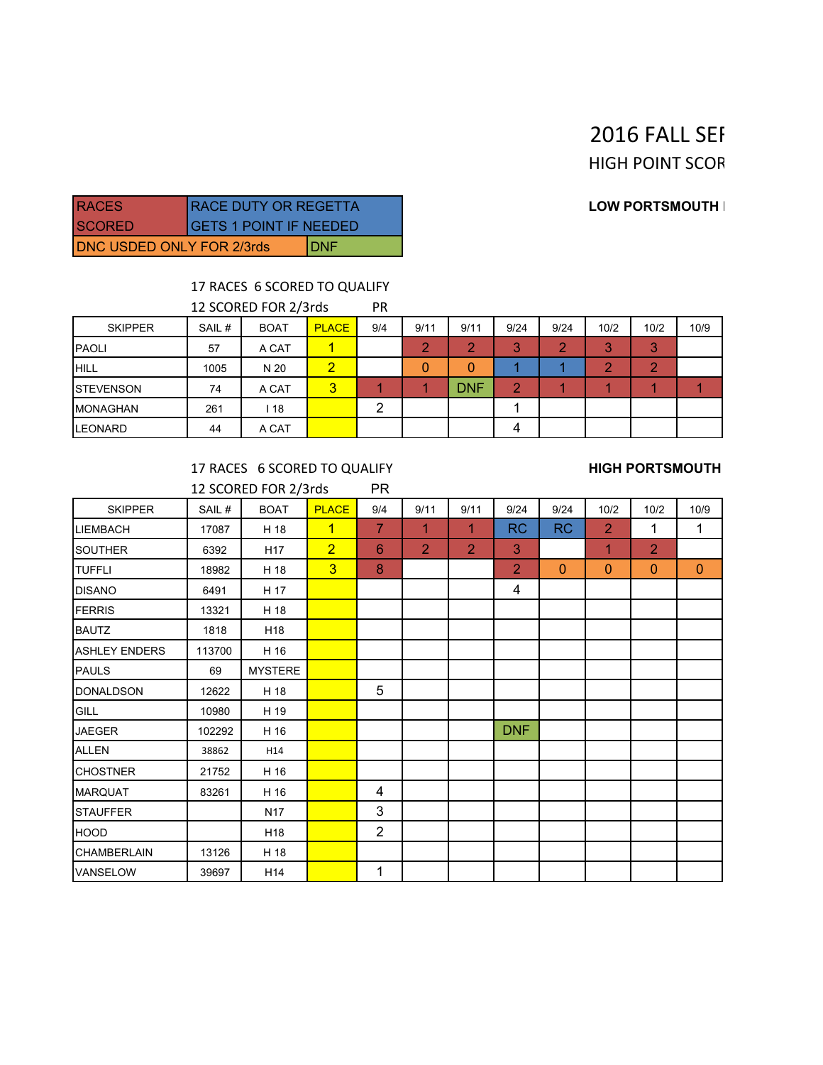# 2016 FALL SEF **HIGH POINT SCOR**

### **LOW PORTSMOUTH I**

| <b>IRACES</b>             | RACE DUTY OR REGETTA          |  |  |  |  |  |
|---------------------------|-------------------------------|--|--|--|--|--|
| ISCORFD                   | <b>GETS 1 POINT IF NEEDED</b> |  |  |  |  |  |
| DNC USDED ONLY FOR 2/3rds | <b>IDNF</b>                   |  |  |  |  |  |

## 17 RACES 6 SCORED TO QUALIFY

12 SCORED FOR 2/3rds PR

| <b>SKIPPER</b>    | SAIL# | <b>BOAT</b> | <b>PLACE</b> | 9/4 | 9/11 | 9/11       | 9/24       | 9/24   | 10/2 | 10/2                | 10/9 |
|-------------------|-------|-------------|--------------|-----|------|------------|------------|--------|------|---------------------|------|
| <b>PAOLI</b>      | 57    | A CAT       |              |     | ◠    | $\sqrt{2}$ | $\sqrt{2}$ | $\sim$ | o    | $\sim$<br><b>CO</b> |      |
| <b>HILL</b>       | 1005  | N 20        | $\sqrt{2}$   |     | 0    | 0          |            |        |      | e e s               |      |
| <b>ISTEVENSON</b> | 74    | A CAT       | 3            |     |      | <b>DNF</b> | ◠          |        |      |                     |      |
| <b>MONAGHAN</b>   | 261   | 18          |              | ⌒   |      |            |            |        |      |                     |      |
| <b>LEONARD</b>    | 44    | A CAT       |              |     |      |            |            |        |      |                     |      |

## 17 RACES 6 SCORED TO QUALIFY **HIGH PORTSMOUTH** 12 SCORED FOR 2/3rds PR

|                      |        | - - - - - - - - - |                |                |                |                |                |           |                |                |              |
|----------------------|--------|-------------------|----------------|----------------|----------------|----------------|----------------|-----------|----------------|----------------|--------------|
| <b>SKIPPER</b>       | SAIL#  | <b>BOAT</b>       | <b>PLACE</b>   | 9/4            | 9/11           | 9/11           | 9/24           | 9/24      | 10/2           | 10/2           | 10/9         |
| <b>LIEMBACH</b>      | 17087  | H 18              | $\overline{1}$ | $\overline{7}$ | 1              | 1              | <b>RC</b>      | <b>RC</b> | $\overline{2}$ | 1              | 1            |
| <b>SOUTHER</b>       | 6392   | H <sub>17</sub>   | $\overline{2}$ | 6              | $\overline{2}$ | $\overline{2}$ | 3              |           | 1              | $\overline{2}$ |              |
| <b>TUFFLI</b>        | 18982  | H 18              | 3 <sup>5</sup> | 8              |                |                | $\overline{2}$ | $\theta$  | $\mathbf{0}$   | $\theta$       | $\mathbf{0}$ |
| <b>DISANO</b>        | 6491   | H 17              |                |                |                |                | 4              |           |                |                |              |
| <b>FERRIS</b>        | 13321  | H 18              |                |                |                |                |                |           |                |                |              |
| <b>BAUTZ</b>         | 1818   | H <sub>18</sub>   |                |                |                |                |                |           |                |                |              |
| <b>ASHLEY ENDERS</b> | 113700 | H 16              |                |                |                |                |                |           |                |                |              |
| <b>PAULS</b>         | 69     | <b>MYSTERE</b>    |                |                |                |                |                |           |                |                |              |
| <b>DONALDSON</b>     | 12622  | H 18              |                | 5              |                |                |                |           |                |                |              |
| GILL                 | 10980  | H 19              |                |                |                |                |                |           |                |                |              |
| <b>JAEGER</b>        | 102292 | H 16              |                |                |                |                | <b>DNF</b>     |           |                |                |              |
| <b>ALLEN</b>         | 38862  | H14               |                |                |                |                |                |           |                |                |              |
| <b>CHOSTNER</b>      | 21752  | H 16              |                |                |                |                |                |           |                |                |              |
| <b>MARQUAT</b>       | 83261  | H 16              |                | 4              |                |                |                |           |                |                |              |
| <b>STAUFFER</b>      |        | N <sub>17</sub>   |                | 3              |                |                |                |           |                |                |              |
| <b>HOOD</b>          |        | H <sub>18</sub>   |                | $\overline{2}$ |                |                |                |           |                |                |              |
| <b>CHAMBERLAIN</b>   | 13126  | H 18              |                |                |                |                |                |           |                |                |              |
| <b>VANSELOW</b>      | 39697  | H <sub>14</sub>   |                | 1              |                |                |                |           |                |                |              |